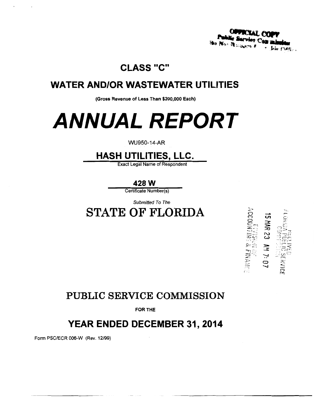8 ( Au

ACCOUNTING & FINANCI<br>ACCOUNTING & FINANCI

**5 MAR 23 AM 7: 07** 

**IC SERVICE** 

## **CLASS "C"**

## **WATER AND/OR WASTEWATER UTILITIES**

(Gross Revenue of Less Than \$200,000 Each)

# **ANNUAL REPORT**

### **WU950-14-AR**

## **HASH UTILITIES, LLC.**

**Exact Legal Name of Respondent** 

428 W

Certificate Number(s)

Submitted To The

## **STATE OF FLORIDA**



FOR THE

## YEAR ENDED DECEMBER 31, 2014

Form PSC/ECR 006-W (Rev. 12/99)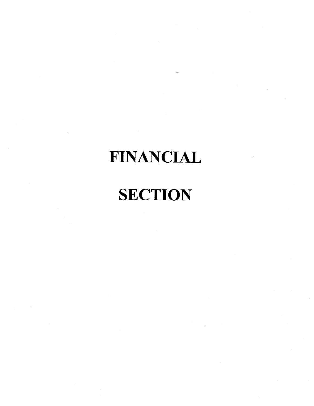# **FINANCIAL**

# **SECTION**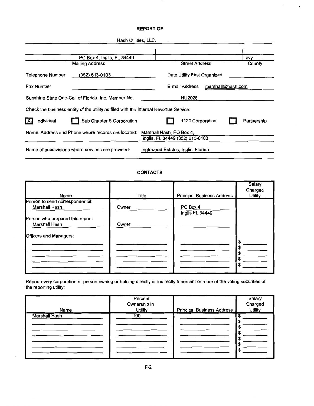#### **REPORT OF**

,

| Hash Utilities, LLC.                                                                 |                                     |              |
|--------------------------------------------------------------------------------------|-------------------------------------|--------------|
|                                                                                      |                                     |              |
| PO Box 4, Inglis, FL 34449                                                           |                                     | <b>ILevy</b> |
| <b>Mailing Address</b>                                                               | <b>Street Address</b>               | County       |
| (352) 613-0103<br>Telephone Number                                                   | Date Utility First Organized        |              |
| <b>Fax Number</b>                                                                    | E-mail Address<br>marshall@hash.com |              |
| Sunshine State One-Call of Florida, Inc. Member No.                                  | <b>HU2028</b>                       |              |
| Check the business entity of the utility as filed with the Internal Revenue Service: |                                     |              |
| Sub Chapter S Corporation<br><b>X</b><br>Individual                                  | 1120 Corporation                    | Partnership  |
| Name, Address and Phone where records are located:                                   | Marshall Hash, PO Box 4,            |              |
|                                                                                      | Inglis, FL 34449 (352) 613-0103     |              |
| Name of subdivisions where services are provided:                                    | Inglewood Estates, Inglis, Florida  |              |

#### **CONTACTS**

| Name                                              | Title | <b>Principal Business Address</b> | Salary<br>Charged<br><b>Utility</b> |
|---------------------------------------------------|-------|-----------------------------------|-------------------------------------|
| Person to send correspondence:<br>Marshall Hash   | Owner | PO Box 4<br>Inglis FL 34449       |                                     |
| Person who prepared this report:<br>Marshall Hash | Owner |                                   |                                     |
| Officers and Managers:                            |       |                                   | S<br>C                              |
|                                                   |       |                                   | S                                   |
|                                                   |       |                                   |                                     |

Report every corporation or person owning or holding directly or indirectly 5 percent or more of the voting securities of the reporting utility:

| Name                 | Percent<br>Ownership in<br><b>Utility</b> | <b>Principal Business Address</b> | Salary<br>Charged<br><b>Utility</b> |
|----------------------|-------------------------------------------|-----------------------------------|-------------------------------------|
| <b>Marshall Hash</b> | 100                                       |                                   |                                     |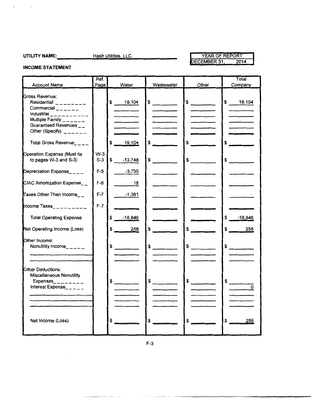$\bullet$  . The  $\mathcal{O}(\mathcal{A})$ 

UTILITY NAME: Hash Utilities, LLC.

#### YEAR OF REPORT DECEMBER 31, 2014

#### **INCOME STATEMENT**

| <b>Account Name</b>                                                                                                                                                              | Ref.<br>Page   | Water                  | Wastewater                                                                                                 | Other                                                                                                                                                                                                                                                                                                                                                                                                                | Total<br>Company          |
|----------------------------------------------------------------------------------------------------------------------------------------------------------------------------------|----------------|------------------------|------------------------------------------------------------------------------------------------------------|----------------------------------------------------------------------------------------------------------------------------------------------------------------------------------------------------------------------------------------------------------------------------------------------------------------------------------------------------------------------------------------------------------------------|---------------------------|
| Gross Revenue:<br>Residential $-$ ------<br>Commercial $\frac{1}{2}$ $\frac{1}{2}$ $\frac{1}{2}$ $\frac{1}{2}$ $\frac{1}{2}$<br>Industrial __________<br>Multiple Family $    -$ |                | \$ 19,104              | $\frac{1}{2}$                                                                                              | $\frac{1}{\sqrt{1-\frac{1}{2}}\sqrt{1-\frac{1}{2}}\sqrt{1-\frac{1}{2}}\sqrt{1-\frac{1}{2}}\sqrt{1-\frac{1}{2}}\sqrt{1-\frac{1}{2}}\sqrt{1-\frac{1}{2}}\sqrt{1-\frac{1}{2}}\sqrt{1-\frac{1}{2}}\sqrt{1-\frac{1}{2}}\sqrt{1-\frac{1}{2}}\sqrt{1-\frac{1}{2}}\sqrt{1-\frac{1}{2}}\sqrt{1-\frac{1}{2}}\sqrt{1-\frac{1}{2}}\sqrt{1-\frac{1}{2}}\sqrt{1-\frac{1}{2}}\sqrt{1-\frac{1}{2}}\sqrt{1-\frac{1}{2}}\sqrt{1-\frac$ | \$ 19,104                 |
| Guaranteed Revenues__<br>Other (Specify) $2x - 1$                                                                                                                                |                |                        |                                                                                                            |                                                                                                                                                                                                                                                                                                                                                                                                                      |                           |
| Total Gross Revenue____                                                                                                                                                          |                | 19,104                 |                                                                                                            |                                                                                                                                                                                                                                                                                                                                                                                                                      | \$                        |
| Operation Expense (Must tie<br>to pages W-3 and S-3)                                                                                                                             | $W-3$<br>$S-3$ | \$<br>$-13,748$        | \$                                                                                                         | \$                                                                                                                                                                                                                                                                                                                                                                                                                   | \$                        |
| Depreciation Expense____                                                                                                                                                         | $F-5$          | $-3,735$               |                                                                                                            |                                                                                                                                                                                                                                                                                                                                                                                                                      |                           |
| CIAC Amortization Expense__                                                                                                                                                      | $F-8$          | 18                     |                                                                                                            |                                                                                                                                                                                                                                                                                                                                                                                                                      |                           |
| Taxes Other Than Income_ $\_$                                                                                                                                                    | $F-7$          | $-1,381$               |                                                                                                            |                                                                                                                                                                                                                                                                                                                                                                                                                      |                           |
| Income Taxes_________                                                                                                                                                            | $F-7$          |                        |                                                                                                            |                                                                                                                                                                                                                                                                                                                                                                                                                      |                           |
| <b>Total Operating Expense</b>                                                                                                                                                   |                | $-18,846$              |                                                                                                            |                                                                                                                                                                                                                                                                                                                                                                                                                      | \$<br>$-18,846$           |
| Net Operating Income (Loss)                                                                                                                                                      |                | 258                    | \$                                                                                                         | \$                                                                                                                                                                                                                                                                                                                                                                                                                   | \$<br>258                 |
| Other Income:<br>Nonutility Income_____                                                                                                                                          |                | \$<br>$\sim$ 100 $\mu$ | \$<br>$\frac{1}{2} \left( \frac{1}{2} \right)^2 \left( \frac{1}{2} \right)^2 \left( \frac{1}{2} \right)^2$ | $\sim$                                                                                                                                                                                                                                                                                                                                                                                                               | $\sim$                    |
| Other Deductions:<br><b>Miscellaneous Nonutility</b><br>Expenses_ $\frac{1}{2}$ _ _ _ _ _ _ _<br>Interest Expense_____                                                           |                | $\frac{1}{2}$          | $\frac{1}{2}$                                                                                              | $\frac{1}{\sqrt{2}}$                                                                                                                                                                                                                                                                                                                                                                                                 | $\frac{1}{\sqrt{2}}$<br>ᅙ |
| Net Income (Loss)                                                                                                                                                                |                | \$                     | \$                                                                                                         | \$                                                                                                                                                                                                                                                                                                                                                                                                                   | \$<br>258                 |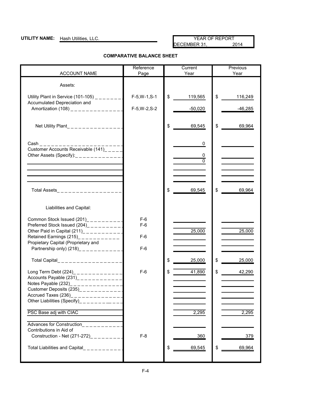### **UTILITY NAME:** Hash Utilities, LLC. YEAR OF REPORT YEAR OF REPORT PERT OF REPORT DECEMBER 31, DECEMBER 31,

#### **COMPARATIVE BALANCE SHEET**

|                                                                                                                                                                                                                    | Reference       | Current            | Previous            |
|--------------------------------------------------------------------------------------------------------------------------------------------------------------------------------------------------------------------|-----------------|--------------------|---------------------|
| <b>ACCOUNT NAME</b>                                                                                                                                                                                                | Page            | Year               | Year                |
| Assets:                                                                                                                                                                                                            |                 |                    |                     |
| Utility Plant in Service (101-105) $\frac{1}{2}$ $\frac{1}{2}$ $\frac{1}{2}$ $\frac{1}{2}$<br>Accumulated Depreciation and                                                                                         | $F-5, W-1, S-1$ | \$<br>119,565      | \$<br>116,249       |
| Amortization (108) ______________                                                                                                                                                                                  | $F-5, W-2, S-2$ | $-50,020$          | $-46,285$           |
| Net Utility Plant_______________                                                                                                                                                                                   |                 | \$<br>69,545       | \$<br>69,964        |
| $Cash __ __ __ __ __ __ __$<br>Customer Accounts Receivable (141)_____<br>Other Assets (Specify):<br>$\frac{1}{2}$ = $\frac{1}{2}$ = $\frac{1}{2}$ = $\frac{1}{2}$ = $\frac{1}{2}$ = $\frac{1}{2}$ = $\frac{1}{2}$ |                 | 0<br>0<br>$\Omega$ |                     |
|                                                                                                                                                                                                                    |                 |                    |                     |
| Total Assets___________________                                                                                                                                                                                    |                 | \$<br>69,545       | \$<br>69,964        |
| Liabilities and Capital:                                                                                                                                                                                           |                 |                    |                     |
| Common Stock Issued (201)___________<br>Preferred Stock Issued (204)___________                                                                                                                                    | $F-6$<br>$F-6$  |                    |                     |
| Other Paid in Capital (211)____________<br>Retained Earnings $(215)$ ___________                                                                                                                                   | $F-6$           | 25,000             | $\overline{25,000}$ |
| Propietary Capital (Proprietary and<br>Partnership only) $(218)$ ____________                                                                                                                                      | $F-6$           |                    |                     |
| Total Capital___________________                                                                                                                                                                                   |                 | \$<br>25,000       | \$<br>25,000        |
| Long Term Debt (224)______________<br>Accounts Payable $(231)$ _____________<br>Notes Payable (232)_______________<br>Customer Deposits $(235)$ _____________                                                      | $F-6$           | 41,890<br>\$       | \$<br>42,290        |
| Accrued Taxes (236)<br>-------------<br>Other Liabilities (Specify)_________                                                                                                                                       |                 |                    |                     |
| PSC Base adj with CIAC                                                                                                                                                                                             |                 | 2,295              | 2,295               |
| Advances for Construction__________<br>Contributions in Aid of                                                                                                                                                     |                 |                    |                     |
| Construction - Net (271-272)                                                                                                                                                                                       | $F-8$           | 360                | 379                 |
| Total Liabilities and Capital<br>__________                                                                                                                                                                        |                 | 69,545<br>\$       | 69,964<br>\$        |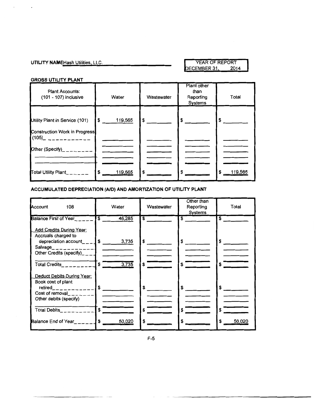### **UTILITY NAME** Hash Utilities, LLC. YEAR OF REPORT YEAR OF REPORT DECEMBER 31,

## **GROSS UTILITY PLANT**

 $\cdot$ 

| <b>Plant Accounts:</b><br>(101 - 107) inclusive                        | Water         | Wastewater | Plant other<br>than<br>Reporting<br>Systems | Total        |
|------------------------------------------------------------------------|---------------|------------|---------------------------------------------|--------------|
| Utility Plant in Service (101)<br><b>Construction Work in Progress</b> | 119,565<br>\$ | \$         | \$                                          | \$           |
| (105)_ ___________<br>Other (Specify) <sub>________</sub>              |               |            |                                             |              |
| Total Utility Plant                                                    | 119,565<br>\$ | \$         |                                             | 119,565<br>S |

### **ACCUMULATED DEPRECIATION (AID) AND AMORTIZATION OF UTILITY PLANT**

| Account<br>108                                                                                                                                  | Water                                      | Wastewater | Other than<br>Reporting<br>Systems | Total             |
|-------------------------------------------------------------------------------------------------------------------------------------------------|--------------------------------------------|------------|------------------------------------|-------------------|
| Balance First of Year_____<br><b>Add Credits During Year:</b><br>Accruals charged to<br>depreciation account_ $\_\_$ \$<br>Salvage_____________ | $\overline{\mathbf{s}}$<br>46,285<br>3,735 | S.<br>\$   | \$<br>\$                           | \$<br>\$          |
| Deduct Debits During Year:                                                                                                                      | 3,735                                      | \$         | \$                                 |                   |
| Book cost of plant<br>$\text{retired}_{\text{max}} = \frac{1}{2}$<br>Cost of removal $\  \$<br>Other debits (specify)                           |                                            | \$         | \$                                 | \$                |
| Total Debits_________<br>Balance End of Year $\sim$ $\sim$ $\sim$ $\sim$ $\sim$ $\sim$ $\sim$                                                   | 15<br>50,020                               | \$         | \$                                 | \$<br>\$<br>50,02 |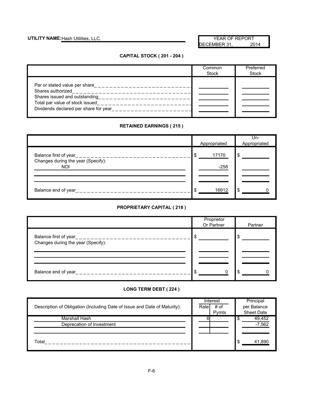## UTILITY NAME: Hash Utilities, LLC. We have a set of the set of the set of the set of the set of the set of the set of the set of the set of the set of the set of the set of the set of the set of the set of the set of the s

DECEMBER 31, 2014

#### **CAPITAL STOCK ( 201 - 204 )**

|                                                                                                                                | Common<br>Stock | Preferred<br>Stock |
|--------------------------------------------------------------------------------------------------------------------------------|-----------------|--------------------|
| Total par value of stock issued<br>---------------------<br>Dividends declared per share for year<br><u>__________________</u> |                 |                    |

### **RETAINED EARNINGS ( 215 )**

|                                                                                               | Appropriated            | $Un-$<br>Appropriated |
|-----------------------------------------------------------------------------------------------|-------------------------|-----------------------|
| Balance first of year<br>________________<br>Changes during the year (Specify):<br><b>NOI</b> | 17170<br>- \$<br>$-258$ | \$                    |
| Balance end of year<br>_____________                                                          | 16912<br>ß.             | \$.                   |

#### **PROPRIETARY CAPITAL ( 218 )**

|                                                                                    | Proprietor<br>Or Partner | Partner |
|------------------------------------------------------------------------------------|--------------------------|---------|
| Balance first of year_______________________<br>Changes during the year (Specify): | ۰D                       |         |
| Balance end of year_<br>. _ _ _ _ _ _ _ _ _ _ _ _ _ _ _ _                          |                          |         |

### **LONG TERM DEBT ( 224 )**

| Description of Obligation (Including Date of Issue and Date of Maturity): | Interest<br># of<br>Rate<br>Pymts | Principal<br>per Balance<br>Sheet Date |
|---------------------------------------------------------------------------|-----------------------------------|----------------------------------------|
| Marshall Hash<br>Deprecation of Investment                                |                                   | 49,452<br>$-7,562$                     |
| Total                                                                     |                                   | 41.890                                 |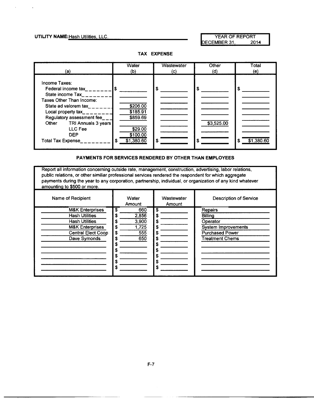#### UTILITY NAME: Hash Utilities, LLC. **We are also assessed to the VEAR OF REPORT**

ECEMBER 31, 2014



**TAX EXPENSE** 

#### **PAYMENTS FOR SERVICES RENDERED BY OTHER THAN EMPLOYEES**

Report all information concerning outside rate, management, construction, advertising, labor relations, public relations, or other similiar professional services rendered the respondent for which aggregate payments during the year to any corporation, partnership, individual, or organization of any kind whatever amounting to \$500 or more.

| Name of Recipient                                                                                                                                       | Water<br>Amount                                               | Wastewater<br>Amount                                   | <b>Description of Service</b>                                                                                           |
|---------------------------------------------------------------------------------------------------------------------------------------------------------|---------------------------------------------------------------|--------------------------------------------------------|-------------------------------------------------------------------------------------------------------------------------|
| <b>M&amp;K Enterprises</b><br><b>Hash Utilities</b><br><b>Hash Utilities</b><br><b>M&amp;K Enterprises</b><br><b>Central Elect Coop</b><br>Dave Symonds | \$<br>660<br>2,856<br>3,900<br>1,725<br>555<br>\$<br>650<br>S | \$<br>s<br>S<br>\$<br>\$<br>S<br>S<br>S<br>S<br>S<br>S | Repairs<br><b>Billing</b><br>Operator<br><b>System Improvements</b><br><b>Purchased Power</b><br><b>Treatment Chems</b> |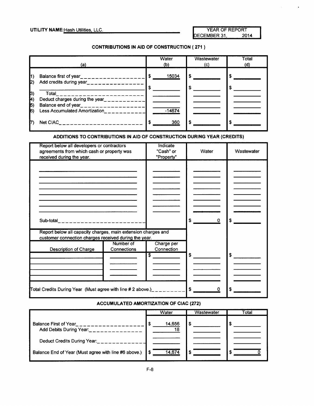$\hat{\mathbf{r}}$ 

#### CONTRIBUTIONS IN AID OF CONSTRUCTION ( 271 )

|                                                         | (a)                                                                                                                                             |         | Water<br>(b) |   | Wastewater<br>(c) | Total<br>(d) |
|---------------------------------------------------------|-------------------------------------------------------------------------------------------------------------------------------------------------|---------|--------------|---|-------------------|--------------|
| $\vert$ 1)<br>$\mathbf{p}$                              | Balance first of year____________________                                                                                                       | \$<br>S | 15034        | S |                   |              |
| $ 3\rangle$<br>$\ket{A}$<br>$\vert$ <sub>5</sub><br>16) | Total<br>Deduct charges during the year_________<br>Balance end of year<br>. _ _ _ _ _ _ _ _ _ _ _ _ _ _ _ _ _<br>Less Accumulated Amortization |         | $-14674$     |   |                   |              |
|                                                         | Net CIAC<br>.                                                                                                                                   |         | 360          | S |                   |              |

#### ADDITIONS TO CONTRIBUTIONS IN AID OF CONSTRUCTION DURING YEAR (CREDITS)

| Report below all developers or contractors<br>agreements from which cash or property was<br>received during the year.  |                          | Indicate<br>"Cash" or<br>"Property" | Water |   | Wastewater           |
|------------------------------------------------------------------------------------------------------------------------|--------------------------|-------------------------------------|-------|---|----------------------|
|                                                                                                                        |                          |                                     |       |   |                      |
|                                                                                                                        |                          |                                     |       |   |                      |
|                                                                                                                        |                          |                                     |       |   |                      |
|                                                                                                                        |                          |                                     |       |   |                      |
| Sub-total________________________                                                                                      |                          |                                     | \$    | 0 | \$                   |
| Report below all capacity charges, main extension charges and<br>customer connection charges received during the year. |                          |                                     |       |   |                      |
| <b>Description of Charge</b>                                                                                           | Number of<br>Connections | Charge per<br>Connection            |       |   |                      |
|                                                                                                                        |                          | $\overline{\mathbf{s}}$             | \$    |   | $\frac{1}{\sqrt{2}}$ |
|                                                                                                                        |                          |                                     |       |   |                      |
|                                                                                                                        |                          |                                     |       |   |                      |
| Total Credits During Year (Must agree with line # 2 above.)__________ S                                                |                          |                                     |       | 0 |                      |

#### ACCUMULATED AMORTIZATION OF CIAC (272)

|                                                      | Water        | Wastewater | Total |
|------------------------------------------------------|--------------|------------|-------|
| Balance First of Year<br>Add Debits During Year:     | 14,656<br>18 | S          |       |
| Deduct Credits During Year:                          |              |            |       |
| Balance End of Year (Must agree with line #6 above.) | 14.674       |            |       |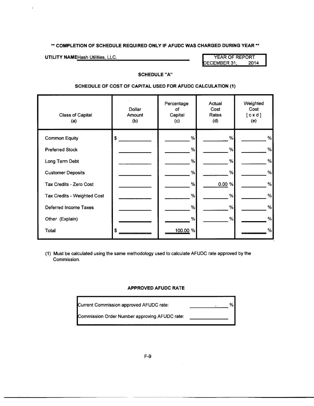\*\* **COMPLETION OF SCHEDULE REQUIRED ONLY IF AFUDC WAS CHARGED DURING YEAR\*\*** 

 $\cdot$ 

**UTILITY NAME** Hash Utilities, LLC. We have a set of the MEAR OF REPORT YEAR OF REPORT PERSON NAME OF REPORT DECEMBER 31,

#### **SCHEDULE "A"**

#### **SCHEDULE OF COST OF CAPITAL USED FOR AFUDC CALCULATION (1)**

| <b>Class of Capital</b><br>(a) | Dollar<br>Amount<br>(b) | Percentage<br>οf<br>Capital<br>(c) | Actual<br>Cost<br>Rates<br>(d) | Weighted<br>Cost<br>[ c x d ]<br>(e) |
|--------------------------------|-------------------------|------------------------------------|--------------------------------|--------------------------------------|
| <b>Common Equity</b>           | Ŝ                       | %                                  | %                              | %                                    |
| <b>Preferred Stock</b>         |                         | %                                  | %                              | %                                    |
| Long Term Debt                 |                         | %                                  | %                              | %                                    |
| <b>Customer Deposits</b>       |                         | %                                  | %                              | %                                    |
| Tax Credits - Zero Cost        |                         | %                                  | 0.00 %                         | %                                    |
| Tax Credits - Weighted Cost    |                         | %                                  | %                              | %                                    |
| Deferred Income Taxes          |                         | %                                  | %                              | %                                    |
| Other (Explain)                |                         | %                                  | %                              | %                                    |
| Total                          | \$                      | 100.00 %                           |                                | %                                    |

(1) Must be calculated using the same methodology used to calculate AFUDC rate approved by the Commission.

#### **APPROVED AFUDC RATE**

| Current Commission approved AFUDC rate:       | % |
|-----------------------------------------------|---|
| Commission Order Number approving AFUDC rate: |   |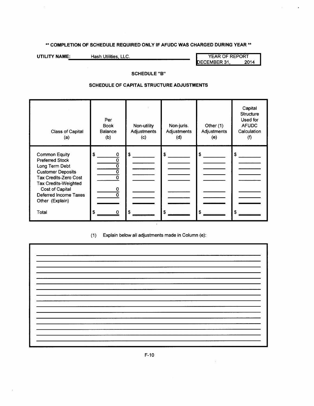## \*\* **COMPLETION OF SCHEDULE REQUIRED ONLY IF AFUDC WAS CHARGED DURING YEAR\*\***

**UTILITY NAME:** Hash Utilities, LLC. **No. 2014** YEAR OF REPORT PERT PERT PERT PERT PERT DECEMBER 31,

 $\ddot{\phantom{a}}$ 

### **SCHEDULE "8"**

### **SCHEDULE OF CAPITAL STRUCTURE ADJUSTMENTS**

| <b>Class of Capital</b><br>(a)                                                                                                                                                                                                      | Per<br><b>Book</b><br><b>Balance</b><br>(b)         | Non-utility<br>Adjustments<br>(c) | Non-juris.<br>Adjustments<br>(d) | Other (1)<br>Adjustments<br>(e) | Capital<br><b>Structure</b><br>Used for<br><b>AFUDC</b><br>Calculation<br>$\circ$ |
|-------------------------------------------------------------------------------------------------------------------------------------------------------------------------------------------------------------------------------------|-----------------------------------------------------|-----------------------------------|----------------------------------|---------------------------------|-----------------------------------------------------------------------------------|
| <b>Common Equity</b><br><b>Preferred Stock</b><br>Long Term Debt<br><b>Customer Deposits</b><br>Tax Credits-Zero Cost<br><b>Tax Credits-Weighted</b><br><b>Cost of Capital</b><br>Deferred Income Taxes<br>Other (Explain)<br>Total | \$<br>0<br>Ω<br>O<br>$\Omega$<br>\$<br><sup>0</sup> | \$<br>S                           | \$                               |                                 | £.                                                                                |

## (1) Explain below all adjustments made in Column (e):

| <b>Contractor</b> |      |
|-------------------|------|
|                   |      |
|                   |      |
|                   |      |
|                   |      |
|                   |      |
|                   |      |
|                   |      |
|                   |      |
|                   |      |
|                   |      |
|                   |      |
|                   |      |
|                   |      |
|                   |      |
|                   |      |
|                   |      |
|                   | ____ |
|                   |      |
|                   |      |
|                   |      |
|                   |      |
|                   |      |
|                   |      |
|                   |      |
|                   |      |
|                   |      |
|                   |      |
|                   |      |
|                   |      |
|                   |      |
|                   |      |
|                   |      |
|                   |      |
|                   | __   |
|                   |      |
|                   |      |
|                   |      |
|                   |      |
|                   |      |
|                   |      |
|                   |      |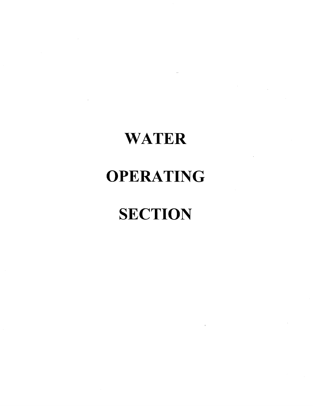# **WATER**

## **OPERATING**

# **SECTION**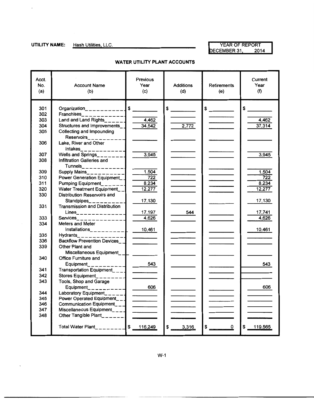$\epsilon$ 

### **UTILITY NAME:** Hash Utilities, LLC. **Name of Act of Second Act of Second Act of REPORT** DECEMBER 31, 2014

| Acct.<br>No.<br>(a) | <b>Account Name</b><br>(b)                                                                                                                                       | <b>Previous</b><br>Year<br>(c)                                                                                                                                                                                                       | <b>Additions</b><br>(d) | Retirements<br>(e)             | Current<br>Year<br>(f) |
|---------------------|------------------------------------------------------------------------------------------------------------------------------------------------------------------|--------------------------------------------------------------------------------------------------------------------------------------------------------------------------------------------------------------------------------------|-------------------------|--------------------------------|------------------------|
| 301                 |                                                                                                                                                                  |                                                                                                                                                                                                                                      | $\frac{1}{2}$           | $\frac{1}{2}$                  | $\frac{1}{2}$          |
| 302                 |                                                                                                                                                                  |                                                                                                                                                                                                                                      |                         |                                |                        |
| 303                 |                                                                                                                                                                  | $-4,462$                                                                                                                                                                                                                             |                         |                                | 4,462                  |
| 304                 | Structures and Improvements_                                                                                                                                     | 34.542                                                                                                                                                                                                                               | 2,772                   |                                | 37,314                 |
| 305                 | Collecting and Impounding                                                                                                                                        |                                                                                                                                                                                                                                      |                         |                                |                        |
|                     | Reservoirs__________                                                                                                                                             |                                                                                                                                                                                                                                      |                         |                                |                        |
| 306                 | Lake, River and Other                                                                                                                                            |                                                                                                                                                                                                                                      |                         |                                |                        |
|                     | Intakes_____________                                                                                                                                             |                                                                                                                                                                                                                                      |                         |                                |                        |
| 307                 | Wells and Springs<br>$\frac{1}{2}$ $\frac{1}{2}$ $\frac{1}{2}$ $\frac{1}{2}$ $\frac{1}{2}$ $\frac{1}{2}$ $\frac{1}{2}$ $\frac{1}{2}$ $\frac{1}{2}$ $\frac{1}{2}$ | 3,945                                                                                                                                                                                                                                |                         |                                | 3,945                  |
| 308                 | Infiltration Galleries and                                                                                                                                       |                                                                                                                                                                                                                                      |                         |                                |                        |
| 309                 | $T$ unnels_____________<br>Supply Mains___________                                                                                                               | 1,504                                                                                                                                                                                                                                |                         |                                | 1,504                  |
| 310                 | Power Generation Equipment_                                                                                                                                      | 722                                                                                                                                                                                                                                  |                         |                                | 722                    |
| 311                 | Pumping Equipment_______                                                                                                                                         | 8,234                                                                                                                                                                                                                                |                         |                                | 8,234                  |
| 320                 | Water Treatment Equipment                                                                                                                                        | 12,277                                                                                                                                                                                                                               |                         |                                | 12,277                 |
| 330                 | Distribution Reservoirs and                                                                                                                                      |                                                                                                                                                                                                                                      |                         |                                |                        |
|                     | Standpipes_______                                                                                                                                                | 17,130                                                                                                                                                                                                                               |                         |                                | 17,130                 |
| 331                 | <b>Transmission and Distribution</b>                                                                                                                             |                                                                                                                                                                                                                                      |                         |                                |                        |
|                     | $Lines$ <sub>______________</sub>                                                                                                                                | 17,197                                                                                                                                                                                                                               | 544                     |                                | 17,741                 |
| 333                 | $S$ ervices______________                                                                                                                                        | 4,626                                                                                                                                                                                                                                |                         |                                | 4,626                  |
| 334                 | Meters and Meter                                                                                                                                                 |                                                                                                                                                                                                                                      |                         |                                |                        |
|                     | $Installations$ <sub>___________</sub>                                                                                                                           | 10,461                                                                                                                                                                                                                               |                         |                                | 10,461                 |
| 335                 | Hydrants______________<br><b>Backflow Prevention Devices</b>                                                                                                     |                                                                                                                                                                                                                                      |                         |                                |                        |
| 336<br>339          | Other Plant and                                                                                                                                                  |                                                                                                                                                                                                                                      |                         |                                |                        |
|                     | Miscellaneous Equipment_                                                                                                                                         |                                                                                                                                                                                                                                      |                         |                                |                        |
| 340                 | <b>Office Furniture and</b>                                                                                                                                      |                                                                                                                                                                                                                                      |                         |                                |                        |
|                     | Equipment___________                                                                                                                                             |                                                                                                                                                                                                                                      |                         |                                | 543                    |
| 341                 | Transportation Equipment___ $\blacksquare$                                                                                                                       | $\overline{\phantom{a}}$                                                                                                                                                                                                             |                         |                                |                        |
| 342                 | Stores Equipment________                                                                                                                                         |                                                                                                                                                                                                                                      |                         |                                |                        |
| 343                 | Tools, Shop and Garage                                                                                                                                           |                                                                                                                                                                                                                                      |                         |                                |                        |
|                     | $Equipment$ <sub>__________</sub>                                                                                                                                |                                                                                                                                                                                                                                      |                         |                                |                        |
| 344                 | Laboratory Equipment_______                                                                                                                                      |                                                                                                                                                                                                                                      |                         |                                |                        |
| 345                 | Power Operated Equipment___                                                                                                                                      |                                                                                                                                                                                                                                      |                         |                                |                        |
| 346                 | Communication Equipment___                                                                                                                                       | <u>and the company of the company of the company of the company of the company of the company of the company of the company of the company of the company of the company of the company of the company of the company of the com</u> |                         |                                |                        |
| 347                 | Miscellaneous Equipment___ $\blacksquare$                                                                                                                        |                                                                                                                                                                                                                                      |                         |                                |                        |
| 348                 | Other Tangible Plant______                                                                                                                                       |                                                                                                                                                                                                                                      |                         |                                |                        |
|                     | Total Water Plant__________ \$ 116,249                                                                                                                           |                                                                                                                                                                                                                                      | 3,316<br>\$             | $\boldsymbol{\mathsf{s}}$<br>0 | 119,565<br>\$          |
|                     |                                                                                                                                                                  |                                                                                                                                                                                                                                      |                         |                                |                        |

#### **WATER UTILITY PLANT ACCOUNTS**

W-1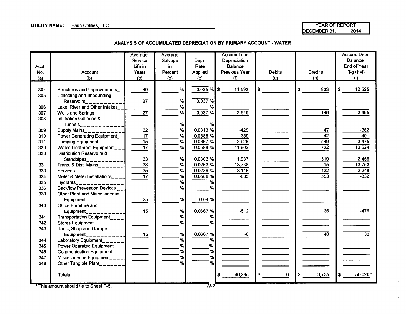**UTILITY NAME:** Hash Utilities, LLC. **A CONFINITY NAME:** Hash Utilities, LLC. A CONFINITY NAME: Hash Utilities, LLC<br>
DECEMBER 31, 2014 DECEMBER 31,

 $\ddot{\phantom{a}}$ 

**ANALYSIS OF ACCUMULATED DEPRECIATION BY PRIMARY ACCOUNT- WATER** 

| Acct.<br>No. | Account                                                     | Average<br>Service<br>Life in<br>Years | Average<br>Salvage<br>in<br>Percent | Depr.<br>Rate<br>Applied | Accumulated<br>Depreciation<br>Balance<br><b>Previous Year</b> | <b>Debits</b> | <b>Credits</b>   | Accum. Depr.<br>Balance<br>End of Year<br>$(f-g+h=i)$ |
|--------------|-------------------------------------------------------------|----------------------------------------|-------------------------------------|--------------------------|----------------------------------------------------------------|---------------|------------------|-------------------------------------------------------|
| (a)          | (b)                                                         | (c)                                    | (d)                                 | (e)                      | (f)                                                            | (q)           | (h)              | (i)                                                   |
| 304          | Structures and Improvements                                 | 40                                     | %                                   | $0.025 \%$ \$            | 11,592                                                         | \$            | \$<br>933        | 12,525<br>\$                                          |
| 305          | Collecting and Impounding                                   |                                        |                                     |                          |                                                                |               |                  |                                                       |
|              | Reservoirs__________                                        | 27                                     | %                                   | 0.037%                   |                                                                |               |                  |                                                       |
| 306          | Lake, River and Other Intakes                               |                                        | %                                   | %                        |                                                                |               |                  |                                                       |
| 307          | Wells and Springs__                                         | $\overline{27}$                        | %                                   | 0.037%                   | 2,549                                                          |               | 146              | 2,695                                                 |
| 308          | <b>Infiltration Galleries &amp;</b>                         |                                        |                                     |                          |                                                                |               |                  |                                                       |
|              | Tunnels_____________                                        |                                        | %                                   | %                        |                                                                |               |                  |                                                       |
| 309          | Supply Mains____________                                    | $\overline{32}$                        | %                                   | $\overline{0.0313}$ %    | $-429$                                                         |               | $\overline{47}$  | $-382$                                                |
| 310          | Power Generating Equipment_                                 | $\overline{17}$                        | $\%$                                | 0.0588%                  | 359                                                            |               | $\overline{42}$  | 401                                                   |
| 311          | <b>Pumping Equipment</b>                                    | $\overline{15}$                        | %                                   | 0.0667%                  | 2,926                                                          |               | 549              | 3,475                                                 |
| 320          | Water Treatment Equipment                                   | $\overline{17}$                        | %                                   | 0.0588%                  | 11,902                                                         |               | $\overline{722}$ | 12,624                                                |
| 330          | <b>Distribution Reservoirs &amp;</b>                        |                                        |                                     |                          |                                                                |               |                  |                                                       |
|              | Standpipes____________                                      | $\frac{33}{38}$                        | %                                   | 0.0303 %                 | 1,937                                                          |               | 519              | 2,456                                                 |
| 331          | Trans. & Dist. Mains_______                                 |                                        | %                                   | 0.0263%                  | 13,738                                                         |               | $\overline{15}$  | 13,753                                                |
| 333          | Services__________                                          | $\frac{1}{\sqrt{35}}$                  | %                                   | 0.0286%                  | 3,116                                                          |               | $\overline{132}$ | 3,248                                                 |
| 334          | Meter & Meter Installations_ $-$                            |                                        | %                                   | $0.0588$ %               | $-885$                                                         |               | 553              | $-332$                                                |
| 335          | <b>Hydrants</b>                                             |                                        | $\%$                                | %                        |                                                                |               |                  |                                                       |
| 336          | <b>Backflow Prevention Devices</b>                          |                                        | %                                   | %                        |                                                                |               |                  |                                                       |
| 339          | <b>Other Plant and Miscellaneous</b>                        |                                        |                                     |                          |                                                                |               |                  |                                                       |
|              | Equipment___________                                        | 25                                     | %                                   | 0.04%                    |                                                                |               |                  |                                                       |
| 340          | Office Furniture and                                        |                                        |                                     |                          |                                                                |               |                  |                                                       |
|              | Equipment                                                   | 15                                     | %                                   | 0.0667%                  | $-512$                                                         |               | $\overline{36}$  | $-476$                                                |
| 341          | Transportation Equipment____                                |                                        | %                                   | %                        |                                                                |               |                  |                                                       |
| 342          | Stores Equipment                                            |                                        | %                                   | $\frac{9}{6}$            |                                                                |               |                  |                                                       |
| 343          | Tools, Shop and Garage                                      |                                        |                                     |                          |                                                                |               |                  |                                                       |
|              | Equipment                                                   | 15                                     | %                                   | 0.0667%                  | -8                                                             |               | $\overline{40}$  | $\overline{32}$                                       |
| 344          | Laboratory Equipment___                                     |                                        | %<br>%                              | %<br>%                   |                                                                |               |                  |                                                       |
| 345          | Power Operated Equipment                                    |                                        | %                                   | %                        |                                                                |               |                  |                                                       |
| 346<br>347   | Communication Equipment____                                 |                                        | %                                   | %                        |                                                                |               |                  |                                                       |
| 348          | Miscellaneous Equipment____ <br>Other Tangible Plant_______ |                                        | %                                   | %                        |                                                                |               |                  |                                                       |
|              |                                                             |                                        |                                     |                          |                                                                |               |                  |                                                       |
|              |                                                             |                                        |                                     |                          | 46,285                                                         | $\mathbf 0$   | 3,735<br>\$      | 50,020*                                               |
|              |                                                             |                                        |                                     |                          |                                                                |               |                  |                                                       |

\* This amount should tie to Sheet F-5. *W-2*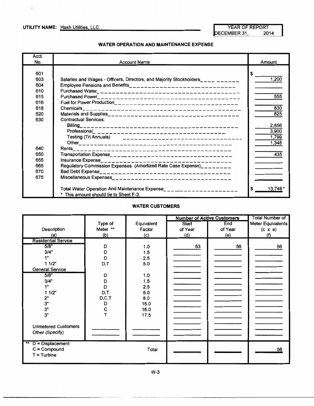$\cdot$ 

**UTILITY NAME:** Hash Utilities, LLC. We have a set of the MEAR OF REPORT YEAR OF REPORT DECEMBER 31,

#### **WATER OPERATION AND MAINTENANCE EXPENSE**

| Acct.<br>No.                           | <b>Account Name</b>                                                                                                                                | Amount                           |
|----------------------------------------|----------------------------------------------------------------------------------------------------------------------------------------------------|----------------------------------|
| 601<br>603<br>604<br>610<br>615<br>616 | Salaries and Wages - Officers, Directors, and Majority Stockholders__________<br>Employee Pensions and Benefits___________________________________ | \$<br>1,200<br>555               |
| 618<br>620<br>630                      | <b>Contractual Services:</b>                                                                                                                       | 830<br>825                       |
|                                        |                                                                                                                                                    | 2,856<br>3,900<br>1,799<br>1,348 |
| 640                                    |                                                                                                                                                    | 435                              |
| 650<br>655                             |                                                                                                                                                    |                                  |
| 665                                    | Regulatory Commission Expenses (Amortized Rate Case Expense)________                                                                               |                                  |
| 670                                    |                                                                                                                                                    |                                  |
| 675                                    |                                                                                                                                                    |                                  |
|                                        | Total Water Operation And Maintenance Expense_________________________<br>* This amount should tie to Sheet F-3.                                   | 13.748                           |

#### **WATER CUSTOMERS**

|                                    |          |            | <b>Number of Active Customers</b> | Total Number of |                   |
|------------------------------------|----------|------------|-----------------------------------|-----------------|-------------------|
|                                    | Type of  | Equivalent | Start                             | End             | Meter Equivalents |
| Description                        | Meter ** | Factor     | of Year                           | of Year         | $(c \times e)$    |
| (a)                                | (b)      | (c)        | (d)                               | (e)             | (f)               |
| <b>Residential Service</b>         |          |            |                                   |                 |                   |
| 5/8"                               | D        | 1.0        | 53                                | 56              | 56                |
| 3/4"                               | D        | 1.5        |                                   |                 |                   |
| 1"                                 | D        | 2.5        |                                   |                 |                   |
| 11/2"                              | D,T      | 5.0        |                                   |                 |                   |
| <b>General Service</b>             |          |            |                                   |                 |                   |
| 5/8"                               | D        | 1.0        |                                   |                 |                   |
| 3/4"                               | D        | 1.5        |                                   |                 |                   |
| 1"                                 | D        | 2.5        |                                   |                 |                   |
| 11/2"                              | D,T      | 5.0        |                                   |                 |                   |
| 2"                                 | D, C, T  | 8.0        |                                   |                 |                   |
| 3"                                 | D        | 15.0       |                                   |                 |                   |
| $3"$                               | C        | 16.0       |                                   |                 |                   |
| 3"                                 |          | 17.5       |                                   |                 |                   |
|                                    |          |            |                                   |                 |                   |
| <b>Unmetered Customers</b>         |          |            |                                   |                 |                   |
| Other (Specify)                    |          |            |                                   |                 |                   |
|                                    |          |            |                                   |                 |                   |
| $\star\star$<br>$D = Displacement$ |          |            |                                   |                 |                   |
| $C = Compound$                     |          | Total      |                                   |                 | 56                |
| $T =$ Turbine                      |          |            |                                   |                 |                   |
|                                    |          |            |                                   |                 |                   |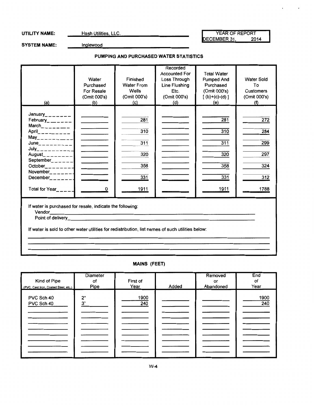UTILITY NAME: Hash Utilities, LLC. Network of the Manual According of the YEAR OF REPORT DECEMBER 31, 2014  $\cdot$ 

SYSTEM NAME: **Inglewood** 

#### **PUMPING AND PURCHASED WATER STATISTICS**

| (a)                                                                                                                                                                                                                                                                                                                                      | Water<br>Purchased<br><b>For Resale</b><br>(Omit 000's)<br>(b)                                                                                                                                                                                                                                                                                                                                                            | Finished<br><b>Water From</b><br>Wells<br>(Omit 000's)<br>(c) | Recorded<br><b>Accounted For</b><br>Loss Through<br>Line Flushing<br>Etc.<br>(Omit 000's)<br>(d) | <b>Total Water</b><br><b>Pumped And</b><br>Purchased<br>(Omit 000's)<br>$[(b)+(c)-(d)]$<br>(e) | <b>Water Sold</b><br>To<br>Customers<br>(Omit 000's)<br>(f) |
|------------------------------------------------------------------------------------------------------------------------------------------------------------------------------------------------------------------------------------------------------------------------------------------------------------------------------------------|---------------------------------------------------------------------------------------------------------------------------------------------------------------------------------------------------------------------------------------------------------------------------------------------------------------------------------------------------------------------------------------------------------------------------|---------------------------------------------------------------|--------------------------------------------------------------------------------------------------|------------------------------------------------------------------------------------------------|-------------------------------------------------------------|
| January________<br>February_ $\frac{1}{2}$<br>$March$ <sub>-----</sub><br>April $     -$<br>$May_{------}$<br>$June_{\_---\_---\_$<br>$July$ <sub>---------</sub><br>August_________<br>September <sub>______</sub> _<br>October $\_$<br>November <sub><math>------</math></sub><br>December <sub>______</sub> __<br>Total for Year_____ | <b>Contract Contract Contract</b><br><b>Contract Contract</b><br>$\frac{1}{2}$<br>$\frac{1}{2}$ and $\frac{1}{2}$ and $\frac{1}{2}$ and $\frac{1}{2}$<br><b>Contract Contract</b><br><u>and the company of the company of the company of the company of the company of the company of the company of the company of the company of the company of the company of the company of the company of the company of the com</u> | 281<br>310<br>311<br>320<br>358<br>331<br><u> 1911 </u>       |                                                                                                  | 281<br>310<br>311<br>320<br>358<br>331<br><u>1911</u>                                          | 272<br>284<br>299<br>297<br>324<br>312<br>1788              |
| If water is purchased for resale, indicate the following:<br>Vendor<br>If water is sold to other water utilities for redistribution, list names of such utilities below:                                                                                                                                                                 |                                                                                                                                                                                                                                                                                                                                                                                                                           |                                                               |                                                                                                  |                                                                                                |                                                             |

**MAINS (FEET)** 

|                                      | <b>Diameter</b> |          |       | Removed   | End  |
|--------------------------------------|-----------------|----------|-------|-----------|------|
| Kind of Pipe                         | оf              | First of |       | or        | Οf   |
| (PVC, Cast Iron, Coated Steel, etc.) | Pipe            | Year     | Added | Abandoned | Year |
|                                      |                 |          |       |           |      |
| PVC Sch 40                           | 2"              | 1900     |       |           | 1900 |
| PVC Sch 40                           | 3"              | 240      |       |           | 240  |
|                                      |                 |          |       |           |      |
|                                      |                 |          |       |           |      |
|                                      |                 |          |       |           |      |
|                                      |                 |          |       |           |      |
|                                      |                 |          |       |           |      |
|                                      |                 |          |       |           |      |
|                                      |                 |          |       |           |      |
|                                      |                 |          |       |           |      |
|                                      |                 |          |       |           |      |
|                                      |                 |          |       |           |      |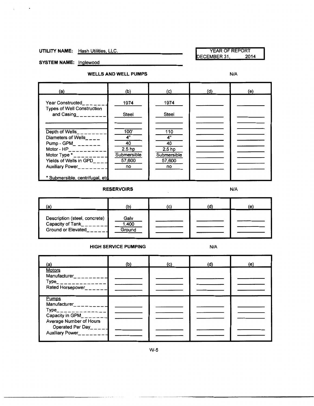#### UTILITY NAME: Hash Utilities, LLC.<br>DECEMBER 31, 2014 DECEMBER 31,

SYSTEM NAME: Inglewood

 $\cdot$ 

#### **WELLS AND WELL PUMPS** N/A

| (a)                                                                                                                                                                                                     | (b)                                                                  | (c)                                                                 | (d) | (e) |
|---------------------------------------------------------------------------------------------------------------------------------------------------------------------------------------------------------|----------------------------------------------------------------------|---------------------------------------------------------------------|-----|-----|
| Year Constructed<br><b>Types of Well Construction</b><br>and Casing_______                                                                                                                              | 1974<br>Steel                                                        | 1974<br>Steel                                                       |     |     |
| Depth of Wells_<br>Diameters of Wells____<br>Pump - GPM_ $_{-=----}$<br>Motor - $HP$ <sub>__________</sub> _<br>Motor Type $\star$ <sub>n</sub> ______<br>Yields of Wells in GPD<br>Auxiliary Power____ | 100'<br>4"<br>40<br>2.5 <sub>hp</sub><br>Submersible<br>57,600<br>no | 110<br>4"<br>40<br>2.5 <sub>hp</sub><br>Submersible<br>57,600<br>no |     |     |
| * Submersible, centrifugal, etd.                                                                                                                                                                        |                                                                      |                                                                     |     |     |

#### **RESERVOIRS** N/A

| (a)                                                                     |                         | (C) | 0. | (e) |
|-------------------------------------------------------------------------|-------------------------|-----|----|-----|
| Description (steel, concrete)<br>Capacity of Tank<br>Ground or Elevated | Galv<br>1,400<br>Ground |     |    |     |

#### **HIGH SERVICE PUMPING N/A**

| (a)                                                                                                     | (b) | (c) | (d) | (e) |
|---------------------------------------------------------------------------------------------------------|-----|-----|-----|-----|
| <b>Motors</b><br>Manufacturer_ _ _ _ _ _ _<br>$Type$ <sub>______________</sub><br>Rated Horsepower_____ |     |     |     |     |
| Pumps<br>Manufacturer________<br>$Type$ <sub>______________</sub>                                       |     |     |     |     |
| Capacity in $GPM$ <sub>_____</sub><br>Average Number of Hours<br>Operated Per Day_____                  |     |     |     |     |
| Auxiliary Power_________                                                                                |     |     |     |     |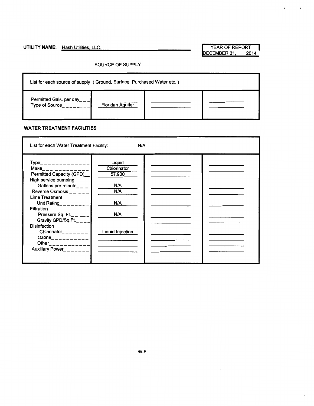**UTILITY NAME:** Hash Utilities, LLC. YEAR OF REPORT YEAR OF REPORT DECEMBER 31,

 $\bar{\epsilon}$ 

 $\mathbf{r}$ 

 $\mathcal{L}_{\mathcal{A}}$ 

 $\bar{\phantom{a}}$ 

#### SOURCE OF SUPPLY



#### **WATER TREATMENT FACILITIES**

| List for each Water Treatment Facility:                                                                                                                                                                                                                                                          | N/A                                                                             |  |
|--------------------------------------------------------------------------------------------------------------------------------------------------------------------------------------------------------------------------------------------------------------------------------------------------|---------------------------------------------------------------------------------|--|
| $Type$ <sub>______________</sub><br><b>Make Make</b><br>Permitted Capacity (GPD)<br>High service pumping<br>Gallons per minute_ $\_ -$<br>Reverse Osmosis $    -$<br>Lime Treatment<br>Unit Rating<br>Filtration<br>Pressure Sq. Ft.<br>Gravity GPD/Sq.Ft.<br>Disinfection<br>Chlorinator_______ | Liquid<br>Chiorinator<br>57,900<br>N/A<br>N/A<br>N/A<br>N/A<br>Liquid Injection |  |
| Ozone__________<br>Other____________<br>Auxiliary Power                                                                                                                                                                                                                                          |                                                                                 |  |
|                                                                                                                                                                                                                                                                                                  |                                                                                 |  |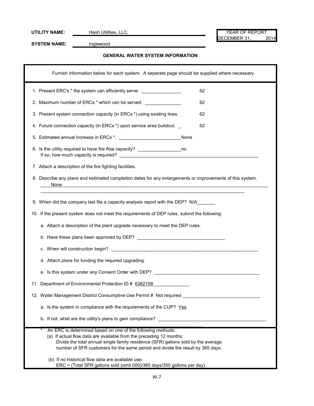UTILITY NAME: Hash Utilities, LLC. We have a set of the set of the set of the set of the set of the set of the set of the set of the set of the set of the set of the set of the set of the set of the set of the set of the s DECEMBER 31, 2014

**SYSTEM NAME:** Inglewood

#### **GENERAL WATER SYSTEM INFORMATION**

| Furnish information below for each system. A separate page should be supplied where necessary.                                                                                                                                                                                                            |
|-----------------------------------------------------------------------------------------------------------------------------------------------------------------------------------------------------------------------------------------------------------------------------------------------------------|
| 1. Present ERC's * the system can efficiently serve. ___________________________<br>62                                                                                                                                                                                                                    |
| 2. Maximum number of ERCs * which can be served. _______________<br>62                                                                                                                                                                                                                                    |
| 3. Present system connection capacity (in ERCs *) using existing lines.<br>62                                                                                                                                                                                                                             |
| 4. Future connection capacity (in ERCs *) upon service area buildout.<br>62                                                                                                                                                                                                                               |
|                                                                                                                                                                                                                                                                                                           |
| 6. Is the utility required to have fire flow capacity? _________________________ no                                                                                                                                                                                                                       |
| 7. Attach a description of the fire fighting facilities.                                                                                                                                                                                                                                                  |
| 8. Describe any plans and estimated completion dates for any enlargements or improvements of this system.<br>None<br><u> 1989 - Johann Stoff, deutscher Stoffen und der Stoffen und der Stoffen und der Stoffen und der Stoffen und der</u>                                                               |
| 9. When did the company last file a capacity analysis report with the DEP? N/A<br>10. If the present system does not meet the requirements of DEP rules, submit the following:                                                                                                                            |
| a. Attach a description of the plant upgrade necessary to meet the DEP rules.                                                                                                                                                                                                                             |
| b. Have these plans been approved by DEP?                                                                                                                                                                                                                                                                 |
|                                                                                                                                                                                                                                                                                                           |
| d. Attach plans for funding the required upgrading.                                                                                                                                                                                                                                                       |
| e. Is this system under any Consent Order with DEP?                                                                                                                                                                                                                                                       |
| 11. Department of Environmental Protection ID # 6382108                                                                                                                                                                                                                                                   |
| 12. Water Management District Consumptive Use Permit # Not required                                                                                                                                                                                                                                       |
| a. Is the system in compliance with the requirements of the CUP? Yes                                                                                                                                                                                                                                      |
|                                                                                                                                                                                                                                                                                                           |
| b. If not, what are the utility's plans to gain compliance?                                                                                                                                                                                                                                               |
| An ERC is determined based on one of the following methods:<br>(a) If actual flow data are available from the preceding 12 months:<br>Divide the total annual single family residence (SFR) gallons sold by the average<br>number of SFR customers for the same period and divide the result by 365 days. |
| (b) If no historical flow data are available use:<br>ERC = (Total SFR gallons sold (omit 000)/365 days/350 gallons per day).                                                                                                                                                                              |